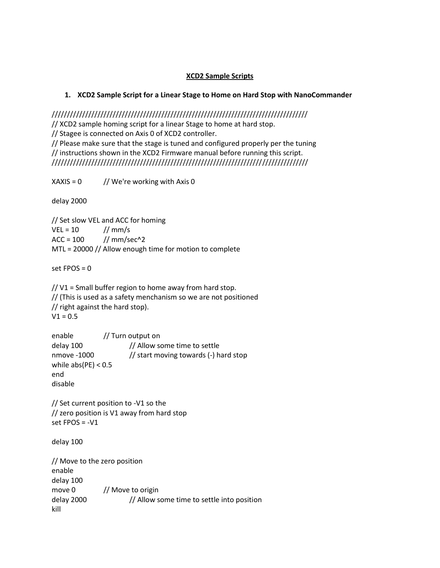## **XCD2 Sample Scripts**

## **1. XCD2 Sample Script for a Linear Stage to Home on Hard Stop with NanoCommander**

////////////////////////////////////////////////////////////////////////////////////

// XCD2 sample homing script for a linear Stage to home at hard stop.

// Stagee is connected on Axis 0 of XCD2 controller.

// Please make sure that the stage is tuned and configured properly per the tuning // instructions shown in the XCD2 Firmware manual before running this script. ////////////////////////////////////////////////////////////////////////////////////

 $XAXIS = 0$  // We're working with Axis 0

delay 2000

// Set slow VEL and ACC for homing  $VEL = 10$  // mm/s  $ACC = 100$  // mm/sec^2 MTL = 20000 // Allow enough time for motion to complete

set FPOS = 0

// V1 = Small buffer region to home away from hard stop. // (This is used as a safety menchanism so we are not positioned // right against the hard stop).  $V1 = 0.5$ 

| enable                | // Turn output on                     |
|-----------------------|---------------------------------------|
| delay 100             | // Allow some time to settle          |
| nmove -1000           | // start moving towards (-) hard stop |
| while $abs(PE) < 0.5$ |                                       |
| end                   |                                       |
| disable               |                                       |

// Set current position to -V1 so the // zero position is V1 away from hard stop set  $FPOS = -V1$ 

delay 100

// Move to the zero position enable delay 100 move 0 // Move to origin delay 2000 // Allow some time to settle into position kill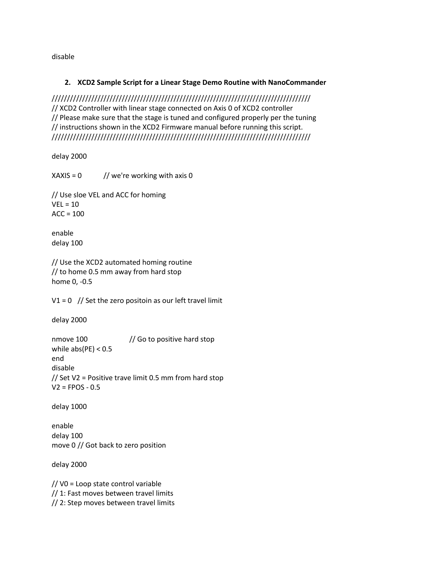disable

## **2. XCD2 Sample Script for a Linear Stage Demo Routine with NanoCommander**

///////////////////////////////////////////////////////////////////////////////////// // XCD2 Controller with linear stage connected on Axis 0 of XCD2 controller // Please make sure that the stage is tuned and configured properly per the tuning // instructions shown in the XCD2 Firmware manual before running this script. /////////////////////////////////////////////////////////////////////////////////////

delay 2000

 $XAXIS = 0$  // we're working with axis 0 // Use sloe VEL and ACC for homing  $VEL = 10$  $ACC = 100$ enable delay 100 // Use the XCD2 automated homing routine // to home 0.5 mm away from hard stop home 0, -0.5  $V1 = 0$  // Set the zero positoin as our left travel limit delay 2000 nmove 100 // Go to positive hard stop while  $abs(PE) < 0.5$ end disable // Set V2 = Positive trave limit 0.5 mm from hard stop  $V2 = FPOS - 0.5$ delay 1000 enable delay 100 move 0 // Got back to zero position delay 2000 // V0 = Loop state control variable // 1: Fast moves between travel limits // 2: Step moves between travel limits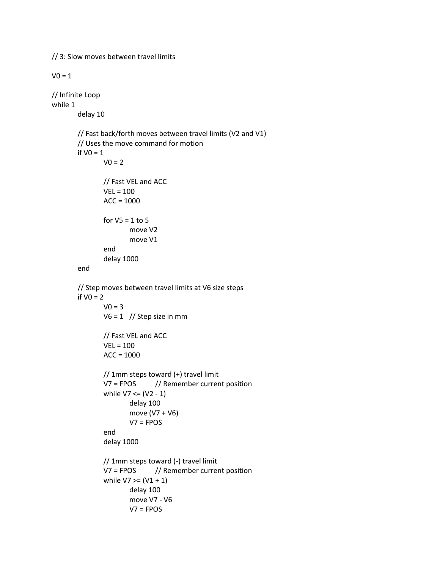// 3: Slow moves between travel limits  $V0 = 1$ // Infinite Loop while 1 delay 10 // Fast back/forth moves between travel limits (V2 and V1) // Uses the move command for motion if  $VO = 1$  $V0 = 2$ // Fast VEL and ACC  $VEL = 100$  $ACC = 1000$ for  $V5 = 1$  to 5 move V2 move V1 end delay 1000 end // Step moves between travel limits at V6 size steps if  $VO = 2$  $VO = 3$  $V6 = 1$  // Step size in mm // Fast VEL and ACC VEL = 100  $ACC = 1000$ // 1mm steps toward (+) travel limit V7 = FPOS // Remember current position while  $V7 \leq (V2 - 1)$ delay 100 move (V7 + V6)  $V7 = FPOS$ end delay 1000 // 1mm steps toward (-) travel limit V7 = FPOS // Remember current position while  $V7$  >=  $(V1 + 1)$ delay 100 move V7 - V6 V7 = FPOS